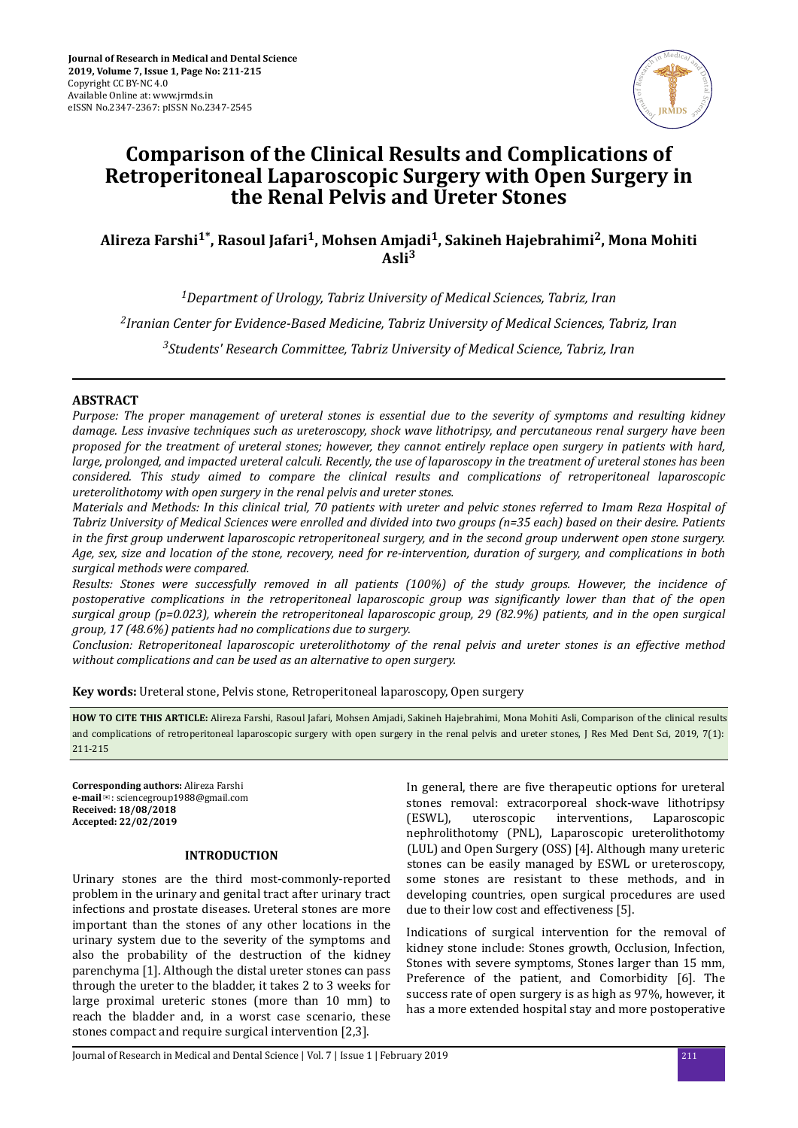

# **Comparison of the Clinical Results and Complications of Retroperitoneal Laparoscopic Surgery with Open Surgery in the Renal Pelvis and Ureter Stones**

**Alireza Farshi1\*, Rasoul Jafari<sup>1</sup> , Mohsen Amjadi<sup>1</sup> , Sakineh Hajebrahimi<sup>2</sup> , Mona Mohiti Asli<sup>3</sup>**

*<sup>1</sup>Department of Urology, Tabriz University of Medical Sciences, Tabriz, Iran 2 Iranian Center for Evidence-Based Medicine, Tabriz University of Medical Sciences, Tabriz, Iran <sup>3</sup>Students' Research Committee, Tabriz University of Medical Science, Tabriz, Iran*

# **ABSTRACT**

*Purpose: The proper management of ureteral stones is essential due to the severity of symptoms and resulting kidney damage. Less invasive techniques such as ureteroscopy, shock wave lithotripsy, and percutaneous renal surgery have been proposed for the treatment of ureteral stones; however, they cannot entirely replace open surgery in patients with hard, large, prolonged, and impacted ureteral calculi. Recently, the use of laparoscopy in the treatment of ureteral stones has been considered. This study aimed to compare the clinical results and complications of retroperitoneal laparoscopic ureterolithotomy with open surgery in the renal pelvis and ureter stones.*

*Materials and Methods: In this clinical trial, 70 patients with ureter and pelvic stones referred to Imam Reza Hospital of Tabriz University of Medical Sciences were enrolled and divided into two groups (n=35 each) based on their desire. Patients in the ϔrst group underwent laparoscopic retroperitoneal surgery, and in the second group underwent open stone surgery. Age, sex, size and location of the stone, recovery, need for re-intervention, duration of surgery, and complications in both surgical methods were compared.*

*Results: Stones were successfully removed in all patients (100%) of the study groups. However, the incidence of postoperative complications in the retroperitoneal laparoscopic group was significantly lower than that of the open surgical group (p=0.023), wherein the retroperitoneal laparoscopic group, 29 (82.9%) patients, and in the open surgical group, 17 (48.6%) patients had no complications due to surgery.*

*Conclusion: Retroperitoneal laparoscopic ureterolithotomy of the renal pelvis and ureter stones is an effective method without complications and can be used as an alternative to open surgery.*

**Key words:** Ureteral stone, Pelvis stone, Retroperitoneal laparoscopy, Open surgery

**HOW TO CITE THIS ARTICLE:** Alireza Farshi, Rasoul Jafari, Mohsen Amjadi, Sakineh Hajebrahimi, Mona Mohiti Asli, Comparison of the clinical results and complications of retroperitoneal laparoscopic surgery with open surgery in the renal pelvis and ureter stones, J Res Med Dent Sci, 2019, 7(1): 211-215

**Corresponding authors:** Alireza Farshi **e-mail**✉: sciencegroup1988@gmail.com **Received: 18/08/2018 Accepted: 22/02/2019**

# **INTRODUCTION**

Urinary stones are the third most-commonly-reported problem in the urinary and genital tract after urinary tract infections and prostate diseases. Ureteral stones are more important than the stones of any other locations in the urinary system due to the severity of the symptoms and also the probability of the destruction of the kidney parenchyma [1]. Although the distal ureter stones can pass through the ureter to the bladder, it takes 2 to 3 weeks for large proximal ureteric stones (more than 10 mm) to reach the bladder and, in a worst case scenario, these stones compact and require surgical intervention [2,3].

In general, there are five therapeutic options for ureteral stones removal: extracorporeal shock-wave lithotripsy (ESWL), uteroscopic interventions, Laparoscopic nephrolithotomy (PNL), Laparoscopic ureterolithotomy (LUL) and Open Surgery (OSS) [4]. Although many ureteric stones can be easily managed by ESWL or ureteroscopy, some stones are resistant to these methods, and in developing countries, open surgical procedures are used due to their low cost and effectiveness [5].

Indications of surgical intervention for the removal of kidney stone include: Stones growth, Occlusion, Infection, Stones with severe symptoms, Stones larger than 15 mm, Preference of the patient, and Comorbidity [6]. The success rate of open surgery is as high as 97%, however, it has a more extended hospital stay and more postoperative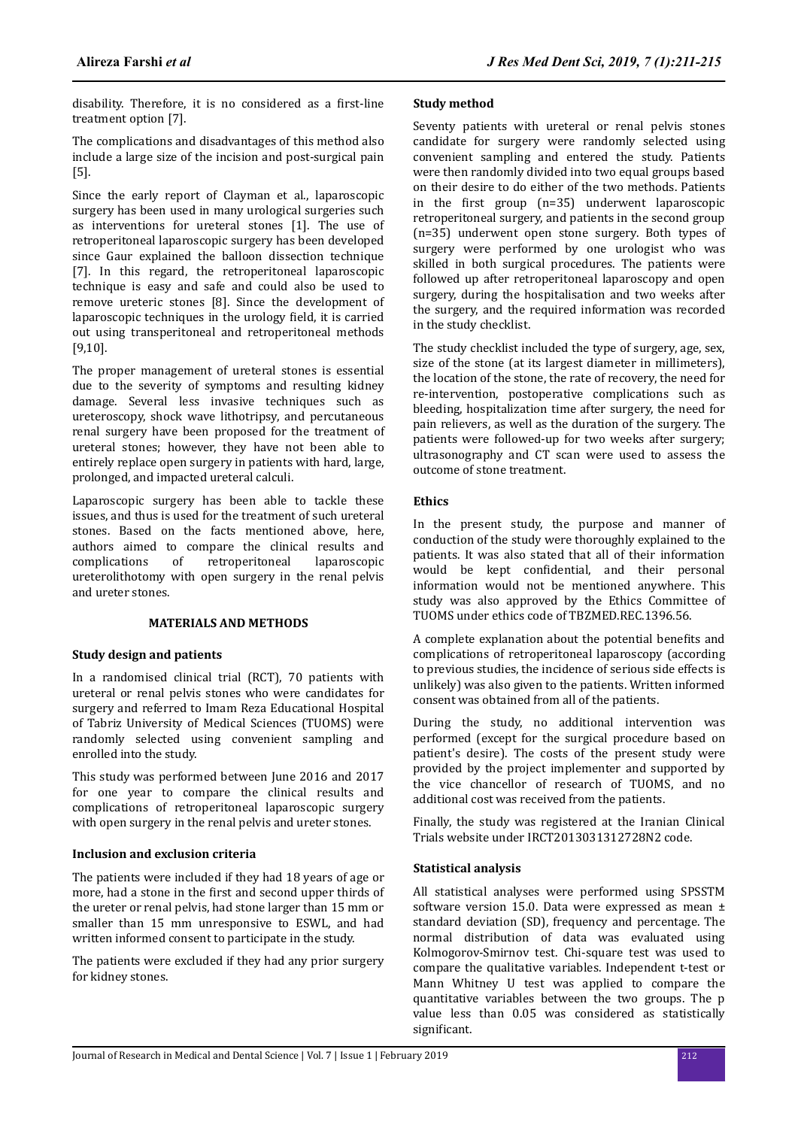disability. Therefore, it is no considered as a first-line treatment option [7].

The complications and disadvantages of this method also include a large size of the incision and post-surgical pain [5].

Since the early report of Clayman et al., laparoscopic surgery has been used in many urological surgeries such as interventions for ureteral stones [1]. The use of retroperitoneal laparoscopic surgery has been developed since Gaur explained the balloon dissection technique [7]. In this regard, the retroperitoneal laparoscopic technique is easy and safe and could also be used to remove ureteric stones [8]. Since the development of laparoscopic techniques in the urology field, it is carried out using transperitoneal and retroperitoneal methods [9.10].

The proper management of ureteral stones is essential due to the severity of symptoms and resulting kidney damage. Several less invasive techniques such as ureteroscopy, shock wave lithotripsy, and percutaneous renal surgery have been proposed for the treatment of ureteral stones; however, they have not been able to entirely replace open surgery in patients with hard, large, prolonged, and impacted ureteral calculi.

Laparoscopic surgery has been able to tackle these issues, and thus is used for the treatment of such ureteral stones. Based on the facts mentioned above, here, authors aimed to compare the clinical results and complications of retroperitoneal laparoscopic ureterolithotomy with open surgery in the renal pelvis and ureter stones.

## **MATERIALS AND METHODS**

## **Study design and patients**

In a randomised clinical trial (RCT), 70 patients with ureteral or renal pelvis stones who were candidates for surgery and referred to Imam Reza Educational Hospital of Tabriz University of Medical Sciences (TUOMS) were randomly selected using convenient sampling and enrolled into the study.

This study was performed between June 2016 and 2017 for one year to compare the clinical results and complications of retroperitoneal laparoscopic surgery with open surgery in the renal pelvis and ureter stones.

# **Inclusion and exclusion criteria**

The patients were included if they had 18 years of age or more, had a stone in the first and second upper thirds of the ureter or renal pelvis, had stone larger than 15 mm or smaller than 15 mm unresponsive to ESWL, and had written informed consent to participate in the study.

The patients were excluded if they had any prior surgery for kidney stones.

## **Study method**

Seventy patients with ureteral or renal pelvis stones candidate for surgery were randomly selected using convenient sampling and entered the study. Patients were then randomly divided into two equal groups based on their desire to do either of the two methods. Patients in the first group  $(n=35)$  underwent laparoscopic retroperitoneal surgery, and patients in the second group (n=35) underwent open stone surgery. Both types of surgery were performed by one urologist who was skilled in both surgical procedures. The patients were followed up after retroperitoneal laparoscopy and open surgery, during the hospitalisation and two weeks after the surgery, and the required information was recorded in the study checklist.

The study checklist included the type of surgery, age, sex, size of the stone (at its largest diameter in millimeters), the location of the stone, the rate of recovery, the need for re-intervention, postoperative complications such as bleeding, hospitalization time after surgery, the need for pain relievers, as well as the duration of the surgery. The patients were followed-up for two weeks after surgery; ultrasonography and CT scan were used to assess the outcome of stone treatment.

# **Ethics**

In the present study, the purpose and manner of conduction of the study were thoroughly explained to the patients. It was also stated that all of their information would be kept confidential, and their personal information would not be mentioned anywhere. This study was also approved by the Ethics Committee of TUOMS under ethics code of TBZMED.REC.1396.56.

A complete explanation about the potential benefits and complications of retroperitoneal laparoscopy (according to previous studies, the incidence of serious side effects is unlikely) was also given to the patients. Written informed consent was obtained from all of the patients.

During the study, no additional intervention was performed (except for the surgical procedure based on patient's desire). The costs of the present study were provided by the project implementer and supported by the vice chancellor of research of TUOMS, and no additional cost was received from the patients.

Finally, the study was registered at the Iranian Clinical Trials website under IRCT2013031312728N2 code.

# **Statistical analysis**

All statistical analyses were performed using SPSSTM software version 15.0. Data were expressed as mean ± standard deviation (SD), frequency and percentage. The normal distribution of data was evaluated using Kolmogorov-Smirnov test. Chi-square test was used to compare the qualitative variables. Independent t-test or Mann Whitney U test was applied to compare the quantitative variables between the two groups. The p value less than 0.05 was considered as statistically significant.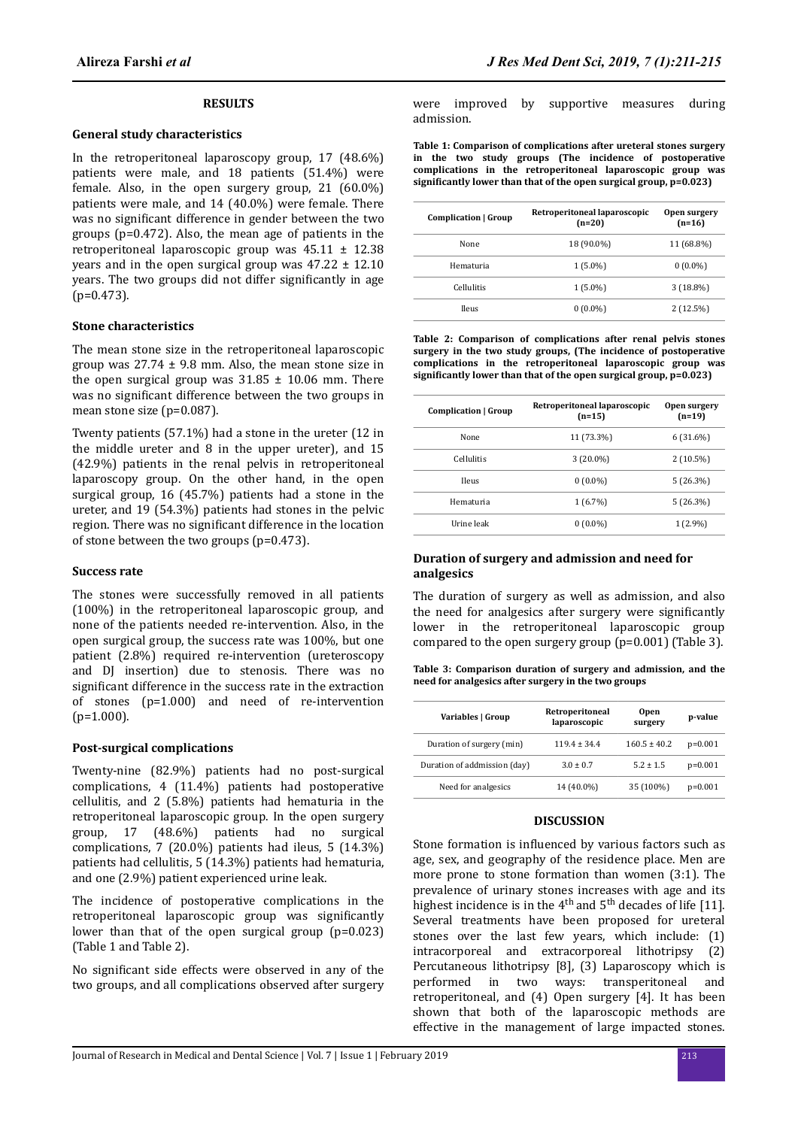#### **RESULTS**

#### **General study characteristics**

In the retroperitoneal laparoscopy group, 17 (48.6%) patients were male, and 18 patients (51.4%) were female. Also, in the open surgery group, 21 (60.0%) patients were male, and 14 (40.0%) were female. There was no significant difference in gender between the two groups (p=0.472). Also, the mean age of patients in the retroperitoneal laparoscopic group was  $45.11 \pm 12.38$ years and in the open surgical group was  $47.22 \pm 12.10$ years. The two groups did not differ significantly in age  $(p=0.473)$ .

#### **Stone characteristics**

The mean stone size in the retroperitoneal laparoscopic group was  $27.74 \pm 9.8$  mm. Also, the mean stone size in the open surgical group was  $31.85 \pm 10.06$  mm. There was no significant difference between the two groups in mean stone size (p=0.087).

Twenty patients (57.1%) had a stone in the ureter (12 in the middle ureter and 8 in the upper ureter), and 15 (42.9%) patients in the renal pelvis in retroperitoneal laparoscopy group. On the other hand, in the open surgical group, 16 (45.7%) patients had a stone in the ureter, and 19 (54.3%) patients had stones in the pelvic region. There was no significant difference in the location of stone between the two groups (p=0.473).

#### **Success rate**

The stones were successfully removed in all patients (100%) in the retroperitoneal laparoscopic group, and none of the patients needed re-intervention. Also, in the open surgical group, the success rate was 100%, but one patient (2.8%) required re-intervention (ureteroscopy and DJ insertion) due to stenosis. There was no significant difference in the success rate in the extraction of stones (p=1.000) and need of re-intervention  $(p=1.000)$ .

#### **Post-surgical complications**

Twenty-nine (82.9%) patients had no post-surgical complications, 4 (11.4%) patients had postoperative cellulitis, and 2 (5.8%) patients had hematuria in the retroperitoneal laparoscopic group. In the open surgery group, 17 (48.6%) patients had no surgical complications, 7 (20.0%) patients had ileus, 5 (14.3%) patients had cellulitis, 5 (14.3%) patients had hematuria, and one (2.9%) patient experienced urine leak.

The incidence of postoperative complications in the retroperitoneal laparoscopic group was significantly lower than that of the open surgical group (p=0.023) (Table 1 and Table 2).

No significant side effects were observed in any of the two groups, and all complications observed after surgery

were improved by supportive measures during admission.

**Table 1: Comparison of complications after ureteral stones surgery in the two study groups (The incidence of postoperative complications in the retroperitoneal laparoscopic group was** significantly lower than that of the open surgical group, p=0.023)

| Complication   Group | Retroperitoneal laparoscopic<br>$(n=20)$ | Open surgery<br>$(n=16)$ |
|----------------------|------------------------------------------|--------------------------|
| None                 | 18 (90.0%)                               | 11 (68.8%)               |
| Hematuria            | $1(5.0\%)$                               | $0(0.0\%)$               |
| <b>Cellulitis</b>    | $1(5.0\%)$                               | $3(18.8\%)$              |
| <b>Ileus</b>         | $0(0.0\%)$                               | 2(12.5%)                 |

**Table 2: Comparison of complications after renal pelvis stones surgery in the two study groups, (The incidence of postoperative complications in the retroperitoneal laparoscopic group was** significantly lower than that of the open surgical group, p=0.023)

| Complication   Group | Retroperitoneal laparoscopic<br>$(n=15)$ | Open surgery<br>$(n=19)$ |
|----------------------|------------------------------------------|--------------------------|
| None                 | 11 (73.3%)                               | 6 (31.6%)                |
| <b>Cellulitis</b>    | $3(20.0\%)$                              | 2(10.5%)                 |
| <b>Ileus</b>         | $0(0.0\%)$                               | 5(26.3%)                 |
| Hematuria            | 1(6.7%)                                  | 5(26.3%)                 |
| Urine leak           | $0(0.0\%)$                               | $1(2.9\%)$               |

### **Duration of surgery and admission and need for analgesics**

The duration of surgery as well as admission, and also the need for analgesics after surgery were significantly lower in the retroperitoneal laparoscopic group compared to the open surgery group (p=0.001) (Table 3).

**Table 3: Comparison duration of surgery and admission, and the need for analgesics after surgery in the two groups**

| Variables   Group            | Retroperitoneal<br>laparoscopic | <b>Open</b><br>surgery | p-value   |
|------------------------------|---------------------------------|------------------------|-----------|
| Duration of surgery (min)    | $1194 + 344$                    | $160.5 \pm 40.2$       | $p=0.001$ |
| Duration of addmission (day) | $3.0 \pm 0.7$                   | $5.2 \pm 1.5$          | $p=0.001$ |
| Need for analgesics          | 14 (40.0%)                      | 35 (100%)              | $p=0.001$ |

#### **DISCUSSION**

Stone formation is influenced by various factors such as age, sex, and geography of the residence place. Men are more prone to stone formation than women (3:1). The prevalence of urinary stones increases with age and its highest incidence is in the  $4<sup>th</sup>$  and  $5<sup>th</sup>$  decades of life [11]. Several treatments have been proposed for ureteral stones over the last few years, which include: (1) intracorporeal and extracorporeal lithotripsy (2) Percutaneous lithotripsy [8], (3) Laparoscopy which is performed in two ways: transperitoneal and retroperitoneal, and (4) Open surgery [4]. It has been shown that both of the laparoscopic methods are effective in the management of large impacted stones.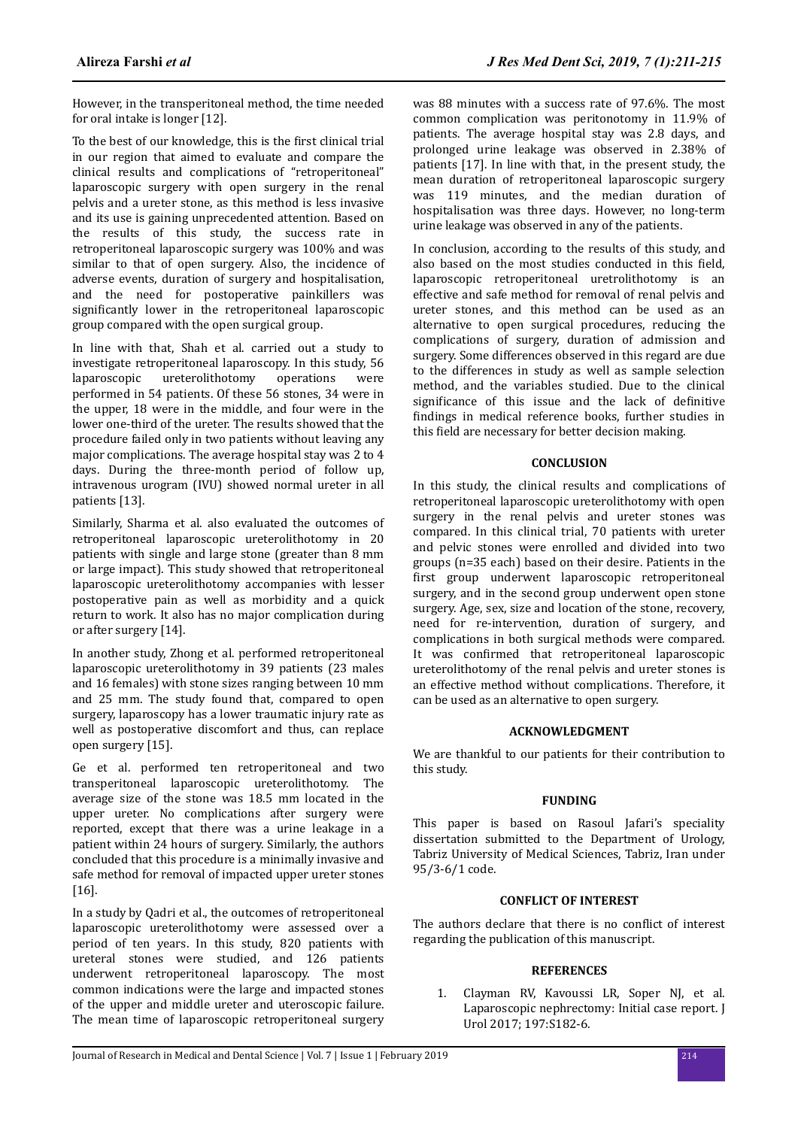However, in the transperitoneal method, the time needed for oral intake is longer [12].

To the best of our knowledge, this is the first clinical trial in our region that aimed to evaluate and compare the clinical results and complications of "retroperitoneal" laparoscopic surgery with open surgery in the renal pelvis and a ureter stone, as this method is less invasive and its use is gaining unprecedented attention. Based on the results of this study, the success rate in retroperitoneal laparoscopic surgery was 100% and was similar to that of open surgery. Also, the incidence of adverse events, duration of surgery and hospitalisation, and the need for postoperative painkillers was significantly lower in the retroperitoneal laparoscopic group compared with the open surgical group.

In line with that, Shah et al. carried out a study to investigate retroperitoneal laparoscopy. In this study, 56 laparoscopic ureterolithotomy operations were performed in 54 patients. Of these 56 stones, 34 were in the upper, 18 were in the middle, and four were in the lower one-third of the ureter. The results showed that the procedure failed only in two patients without leaving any major complications. The average hospital stay was 2 to 4 days. During the three-month period of follow up, intravenous urogram (IVU) showed normal ureter in all patients [13].

Similarly, Sharma et al. also evaluated the outcomes of retroperitoneal laparoscopic ureterolithotomy in 20 patients with single and large stone (greater than 8 mm or large impact). This study showed that retroperitoneal laparoscopic ureterolithotomy accompanies with lesser postoperative pain as well as morbidity and a quick return to work. It also has no major complication during or after surgery [14].

In another study, Zhong et al. performed retroperitoneal laparoscopic ureterolithotomy in 39 patients (23 males and 16 females) with stone sizes ranging between 10 mm and 25 mm. The study found that, compared to open surgery, laparoscopy has a lower traumatic injury rate as well as postoperative discomfort and thus, can replace open surgery [15].

Ge et al. performed ten retroperitoneal and two transperitoneal laparoscopic ureterolithotomy. The average size of the stone was 18.5 mm located in the upper ureter. No complications after surgery were reported, except that there was a urine leakage in a patient within 24 hours of surgery. Similarly, the authors concluded that this procedure is a minimally invasive and safe method for removal of impacted upper ureter stones [16].

In a study by Qadri et al., the outcomes of retroperitoneal laparoscopic ureterolithotomy were assessed over a period of ten years. In this study, 820 patients with ureteral stones were studied, and 126 patients underwent retroperitoneal laparoscopy. The most common indications were the large and impacted stones of the upper and middle ureter and uteroscopic failure. The mean time of laparoscopic retroperitoneal surgery

was 88 minutes with a success rate of 97.6%. The most common complication was peritonotomy in 11.9% of patients. The average hospital stay was 2.8 days, and prolonged urine leakage was observed in 2.38% of patients [17]. In line with that, in the present study, the mean duration of retroperitoneal laparoscopic surgery was 119 minutes, and the median duration of hospitalisation was three days. However, no long-term urine leakage was observed in any of the patients.

In conclusion, according to the results of this study, and also based on the most studies conducted in this field. laparoscopic retroperitoneal uretrolithotomy is an effective and safe method for removal of renal pelvis and ureter stones, and this method can be used as an alternative to open surgical procedures, reducing the complications of surgery, duration of admission and surgery. Some differences observed in this regard are due to the differences in study as well as sample selection method, and the variables studied. Due to the clinical significance of this issue and the lack of definitive findings in medical reference books, further studies in this field are necessary for better decision making.

# **CONCLUSION**

In this study, the clinical results and complications of retroperitoneal laparoscopic ureterolithotomy with open surgery in the renal pelvis and ureter stones was compared. In this clinical trial, 70 patients with ureter and pelvic stones were enrolled and divided into two groups (n=35 each) based on their desire. Patients in the first group underwent laparoscopic retroperitoneal surgery, and in the second group underwent open stone surgery. Age, sex, size and location of the stone, recovery, need for re-intervention, duration of surgery, and complications in both surgical methods were compared. It was confirmed that retroperitoneal laparoscopic ureterolithotomy of the renal pelvis and ureter stones is an effective method without complications. Therefore, it can be used as an alternative to open surgery.

## **ACKNOWLEDGMENT**

We are thankful to our patients for their contribution to this study.

## **FUNDING**

This paper is based on Rasoul Jafari's speciality dissertation submitted to the Department of Urology, Tabriz University of Medical Sciences, Tabriz, Iran under 95/3-6/1 code.

# **CONFLICT OF INTEREST**

The authors declare that there is no conflict of interest regarding the publication of this manuscript.

## **REFERENCES**

1. Clayman RV, Kavoussi LR, Soper NJ, et al. Laparoscopic nephrectomy: Initial case report. J Urol 2017; 197:S182-6.